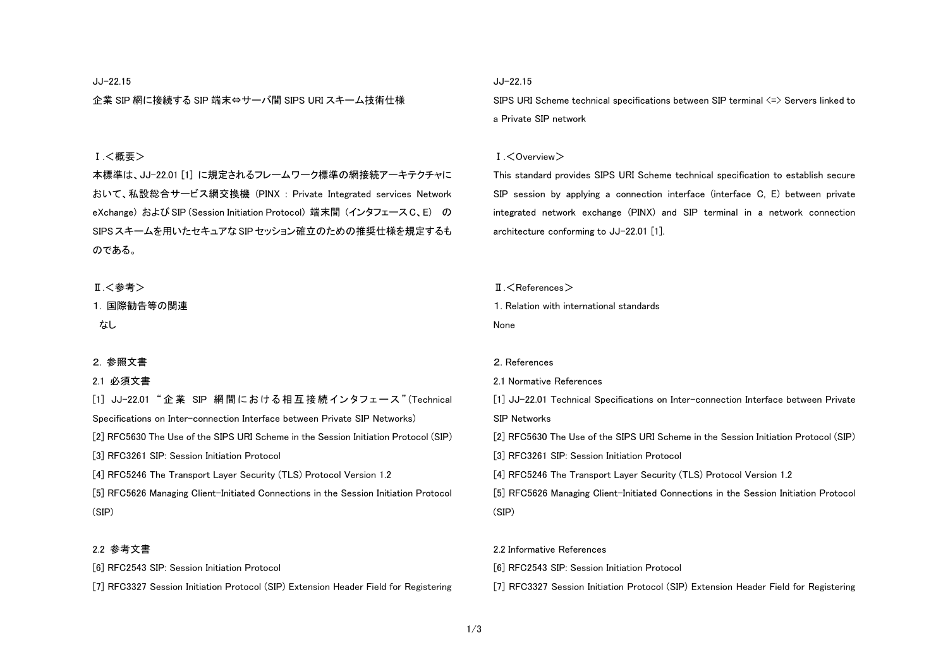### JJ-22.15

企業 SIP 網に接続する SIP 端末⇔サーバ間 SIPS URI スキーム技術仕様

# Ⅰ.<概要>

本標準は、JJ-22.01 [1] に規定されるフレームワーク標準の網接続アーキテクチャに おいて、私設総合サービス網交換機 (PINX : Private Integrated services Network eXchange) および SIP (Session Initiation Protocol) 端末間 (インタフェース C、E) の SIPS スキームを用いたセキュアな SIP セッション確立のための推奨仕様を規定するも のである。

### Ⅱ.<参考>

# 1. 国際勧告等の関連

なし

#### 2. 参照文書

### 2.1 必須文書

[1] JJ-22.01 " 企業 SIP 網 間 に お け る 相 互 接 続 イ ン タ フ ェ ー ス " (Technical Specifications on Inter-connection Interface between Private SIP Networks)

[2] RFC5630 The Use of the SIPS URI Scheme in the Session Initiation Protocol (SIP)

[3] RFC3261 SIP: Session Initiation Protocol

[4] RFC5246 The Transport Layer Security (TLS) Protocol Version 1.2

[5] RFC5626 Managing Client-Initiated Connections in the Session Initiation Protocol (SIP)

# 2.2 参考文書

[6] RFC2543 SIP: Session Initiation Protocol

[7] RFC3327 Session Initiation Protocol (SIP) Extension Header Field for Registering

# JJ-22.15

SIPS URI Scheme technical specifications between SIP terminal  $\leq$  > Servers linked to a Private SIP network

#### Ⅰ.<Overview>

This standard provides SIPS URI Scheme technical specification to establish secure SIP session by applying a connection interface (interface C, E) between private integrated network exchange (PINX) and SIP terminal in a network connection architecture conforming to JJ-22.01 [1].

### $\P$   $\leq$  References  $>$

1. Relation with international standards None

#### 2. References

# 2.1 Normative References

[1] JJ-22.01 Technical Specifications on Inter-connection Interface between Private

SIP Networks

[2] RFC5630 The Use of the SIPS URI Scheme in the Session Initiation Protocol (SIP)

[3] RFC3261 SIP: Session Initiation Protocol

[4] RFC5246 The Transport Layer Security (TLS) Protocol Version 1.2

[5] RFC5626 Managing Client-Initiated Connections in the Session Initiation Protocol (SIP)

#### 2.2 Informative References

[6] RFC2543 SIP: Session Initiation Protocol

[7] RFC3327 Session Initiation Protocol (SIP) Extension Header Field for Registering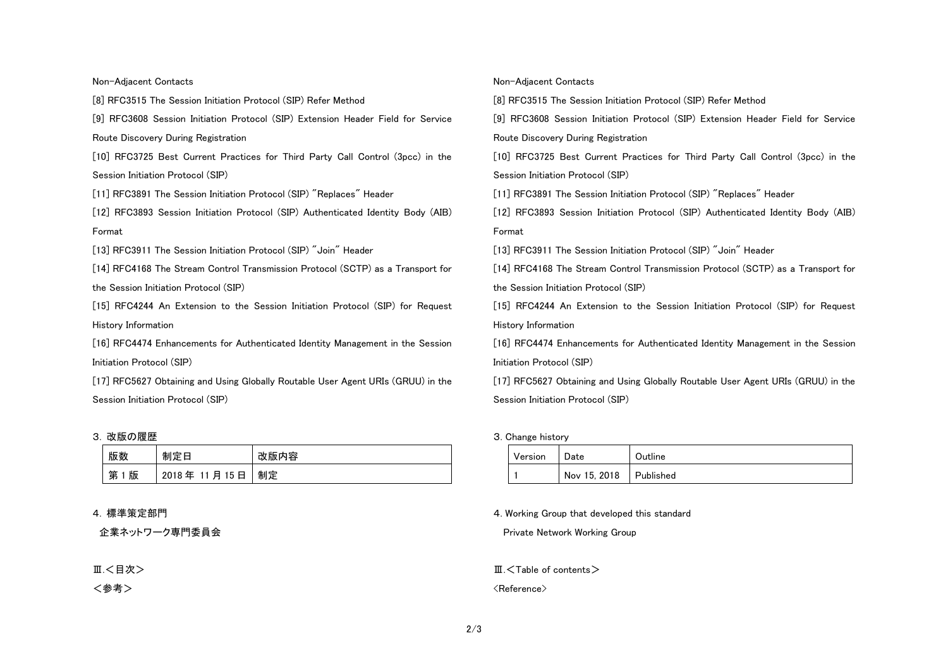### Non-Adjacent Contacts

[8] RFC3515 The Session Initiation Protocol (SIP) Refer Method

[9] RFC3608 Session Initiation Protocol (SIP) Extension Header Field for Service Route Discovery During Registration

[10] RFC3725 Best Current Practices for Third Party Call Control (3pcc) in the Session Initiation Protocol (SIP)

[11] RFC3891 The Session Initiation Protocol (SIP) "Replaces" Header

[12] RFC3893 Session Initiation Protocol (SIP) Authenticated Identity Body (AIB) Format

[13] RFC3911 The Session Initiation Protocol (SIP) "Join" Header

[14] RFC4168 The Stream Control Transmission Protocol (SCTP) as a Transport for the Session Initiation Protocol (SIP)

[15] RFC4244 An Extension to the Session Initiation Protocol (SIP) for Request History Information

[16] RFC4474 Enhancements for Authenticated Identity Management in the Session Initiation Protocol (SIP)

[17] RFC5627 Obtaining and Using Globally Routable User Agent URIs (GRUU) in the Session Initiation Protocol (SIP)

### 3. 改版の履歴

| 版数     | 制定日         | 改版内容 |
|--------|-------------|------|
| 第<br>版 | 2018年11月15日 | 制定   |

### 4. 標準策定部門

企業ネットワーク専門委員会

Ⅲ.<目次>

<参考>

#### Non-Adjacent Contacts

[8] RFC3515 The Session Initiation Protocol (SIP) Refer Method

[9] RFC3608 Session Initiation Protocol (SIP) Extension Header Field for Service Route Discovery During Registration

[10] RFC3725 Best Current Practices for Third Party Call Control (3pcc) in the Session Initiation Protocol (SIP)

[11] RFC3891 The Session Initiation Protocol (SIP) "Replaces" Header

[12] RFC3893 Session Initiation Protocol (SIP) Authenticated Identity Body (AIB) Format

[13] RFC3911 The Session Initiation Protocol (SIP) "Join" Header

[14] RFC4168 The Stream Control Transmission Protocol (SCTP) as a Transport for the Session Initiation Protocol (SIP)

[15] RFC4244 An Extension to the Session Initiation Protocol (SIP) for Request History Information

[16] RFC4474 Enhancements for Authenticated Identity Management in the Session Initiation Protocol (SIP)

[17] RFC5627 Obtaining and Using Globally Routable User Agent URIs (GRUU) in the Session Initiation Protocol (SIP)

### 3. Change history

| Version | Date         | Outline   |
|---------|--------------|-----------|
|         | Nov 15, 2018 | Published |

4. Working Group that developed this standard

Private Network Working Group

 $M<sub>1</sub>$  Table of contents  $>$ 

<Reference>